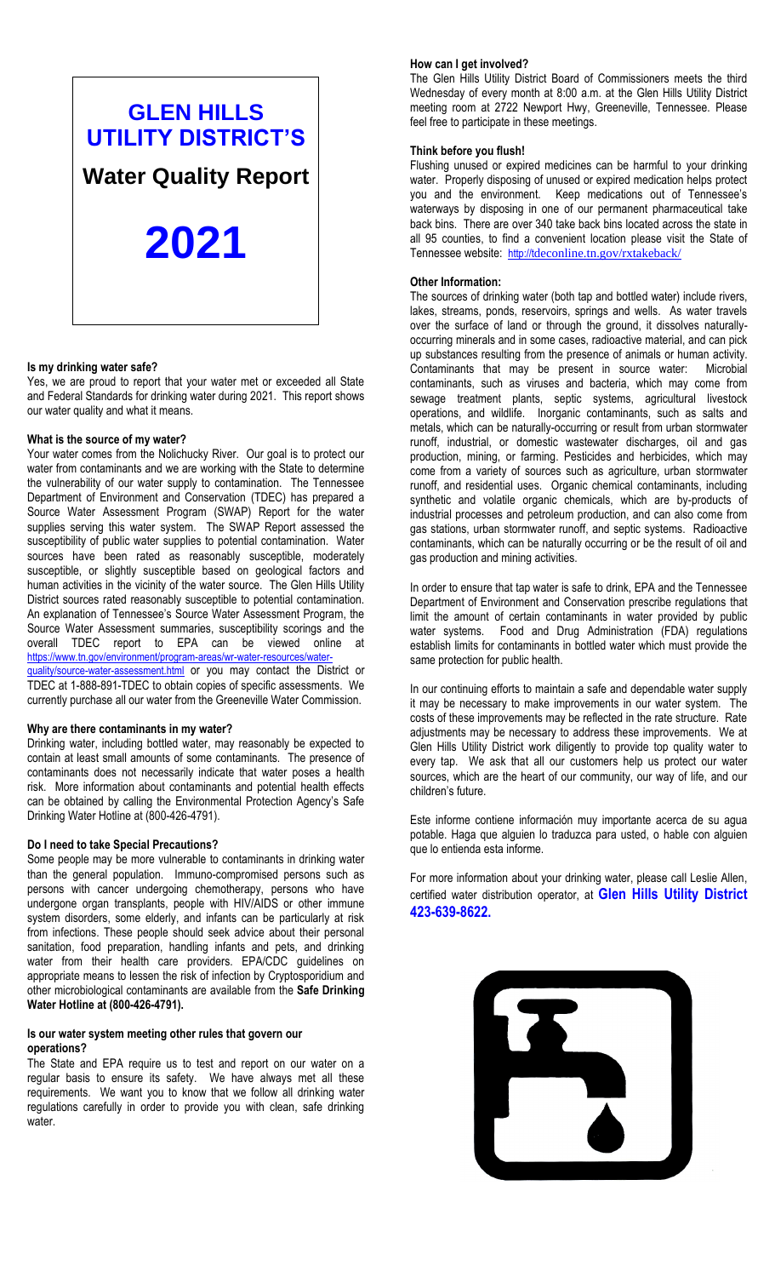# **GLEN HILLS UTILITY DISTRICT'S**

**Water Quality Report**

**2021**

## **Is my drinking water safe?**

Yes, we are proud to report that your water met or exceeded all State and Federal Standards for drinking water during 2021. This report shows our water quality and what it means.

# **What is the source of my water?**

Your water comes from the Nolichucky River. Our goal is to protect our water from contaminants and we are working with the State to determine the vulnerability of our water supply to contamination. The Tennessee Department of Environment and Conservation (TDEC) has prepared a Source Water Assessment Program (SWAP) Report for the water supplies serving this water system. The SWAP Report assessed the susceptibility of public water supplies to potential contamination. Water sources have been rated as reasonably susceptible, moderately susceptible, or slightly susceptible based on geological factors and human activities in the vicinity of the water source. The Glen Hills Utility District sources rated reasonably susceptible to potential contamination. An explanation of Tennessee's Source Water Assessment Program, the Source Water Assessment summaries, susceptibility scorings and the overall TDEC report to EPA can be viewed online at https://www.tn.gov/environment/program-areas/wr-water-resources/water [quality/source-water-assessment.html](https://www.tn.gov/environment/program-areas/wr-water-resources/water-quality/source-water-assessment.html) or you may contact the District or TDEC at 1-888-891-TDEC to obtain copies of specific assessments. We currently purchase all our water from the Greeneville Water Commission.

## **Why are there contaminants in my water?**

Drinking water, including bottled water, may reasonably be expected to contain at least small amounts of some contaminants. The presence of contaminants does not necessarily indicate that water poses a health risk. More information about contaminants and potential health effects can be obtained by calling the Environmental Protection Agency's Safe Drinking Water Hotline at (800-426-4791).

# **Do I need to take Special Precautions?**

Some people may be more vulnerable to contaminants in drinking water than the general population. Immuno-compromised persons such as persons with cancer undergoing chemotherapy, persons who have undergone organ transplants, people with HIV/AIDS or other immune system disorders, some elderly, and infants can be particularly at risk from infections. These people should seek advice about their personal sanitation, food preparation, handling infants and pets, and drinking water from their health care providers. EPA/CDC guidelines on appropriate means to lessen the risk of infection by Cryptosporidium and other microbiological contaminants are available from the **Safe Drinking Water Hotline at (800-426-4791).**

# **Is our water system meeting other rules that govern our operations?**

The State and EPA require us to test and report on our water on a regular basis to ensure its safety. We have always met all these requirements. We want you to know that we follow all drinking water regulations carefully in order to provide you with clean, safe drinking water.

#### **How can I get involved?**

The Glen Hills Utility District Board of Commissioners meets the third Wednesday of every month at 8:00 a.m. at the Glen Hills Utility District meeting room at 2722 Newport Hwy, Greeneville, Tennessee. Please feel free to participate in these meetings.

#### **Think before you flush!**

Flushing unused or expired medicines can be harmful to your drinking water. Properly disposing of unused or expired medication helps protect you and the environment. Keep medications out of Tennessee's waterways by disposing in one of our permanent pharmaceutical take back bins. There are over 340 take back bins located across the state in all 95 counties, to find a convenient location please visit the State of Tennessee website: [http://t](http://t/)deconline.tn.gov/rxtakeback/

#### **Other Information:**

The sources of drinking water (both tap and bottled water) include rivers, lakes, streams, ponds, reservoirs, springs and wells. As water travels over the surface of land or through the ground, it dissolves naturallyoccurring minerals and in some cases, radioactive material, and can pick up substances resulting from the presence of animals or human activity. Contaminants that may be present in source water: Microbial contaminants, such as viruses and bacteria, which may come from sewage treatment plants, septic systems, agricultural livestock operations, and wildlife. Inorganic contaminants, such as salts and metals, which can be naturally-occurring or result from urban stormwater runoff, industrial, or domestic wastewater discharges, oil and gas production, mining, or farming. Pesticides and herbicides, which may come from a variety of sources such as agriculture, urban stormwater runoff, and residential uses. Organic chemical contaminants, including synthetic and volatile organic chemicals, which are by-products of industrial processes and petroleum production, and can also come from gas stations, urban stormwater runoff, and septic systems. Radioactive contaminants, which can be naturally occurring or be the result of oil and gas production and mining activities.

In order to ensure that tap water is safe to drink, EPA and the Tennessee Department of Environment and Conservation prescribe regulations that limit the amount of certain contaminants in water provided by public water systems. Food and Drug Administration (FDA) regulations establish limits for contaminants in bottled water which must provide the same protection for public health.

In our continuing efforts to maintain a safe and dependable water supply it may be necessary to make improvements in our water system. The costs of these improvements may be reflected in the rate structure. Rate adjustments may be necessary to address these improvements. We at Glen Hills Utility District work diligently to provide top quality water to every tap. We ask that all our customers help us protect our water sources, which are the heart of our community, our way of life, and our children's future.

Este informe contiene información muy importante acerca de su agua potable. Haga que alguien lo traduzca para usted, o hable con alguien que lo entienda esta informe.

For more information about your drinking water, please call Leslie Allen, certified water distribution operator, at **Glen Hills Utility District 423-639-8622.**